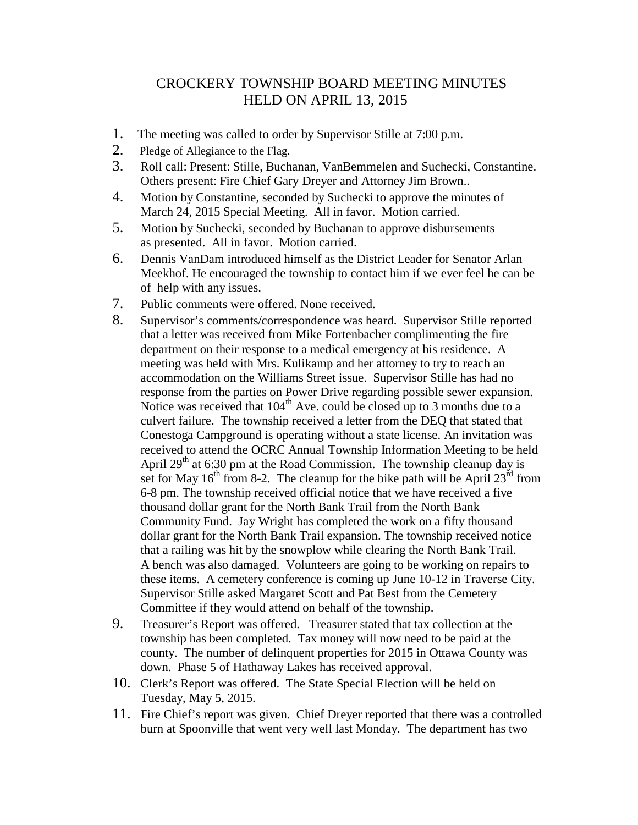## CROCKERY TOWNSHIP BOARD MEETING MINUTES HELD ON APRIL 13, 2015

- 1. The meeting was called to order by Supervisor Stille at 7:00 p.m.
- 2. Pledge of Allegiance to the Flag.
- 3. Roll call: Present: Stille, Buchanan, VanBemmelen and Suchecki, Constantine. Others present: Fire Chief Gary Dreyer and Attorney Jim Brown..
- 4. Motion by Constantine, seconded by Suchecki to approve the minutes of March 24, 2015 Special Meeting. All in favor. Motion carried.
- 5. Motion by Suchecki, seconded by Buchanan to approve disbursements as presented. All in favor. Motion carried.
- 6. Dennis VanDam introduced himself as the District Leader for Senator Arlan Meekhof. He encouraged the township to contact him if we ever feel he can be of help with any issues.
- 7. Public comments were offered. None received.
- 8. Supervisor's comments/correspondence was heard. Supervisor Stille reported that a letter was received from Mike Fortenbacher complimenting the fire department on their response to a medical emergency at his residence. A meeting was held with Mrs. Kulikamp and her attorney to try to reach an accommodation on the Williams Street issue. Supervisor Stille has had no response from the parties on Power Drive regarding possible sewer expansion. Notice was received that  $104<sup>th</sup>$  Ave. could be closed up to 3 months due to a culvert failure. The township received a letter from the DEQ that stated that Conestoga Campground is operating without a state license. An invitation was received to attend the OCRC Annual Township Information Meeting to be held April  $29<sup>th</sup>$  at 6:30 pm at the Road Commission. The township cleanup day is set for May 16<sup>th</sup> from 8-2. The cleanup for the bike path will be April 23<sup>rd</sup> from 6-8 pm. The township received official notice that we have received a five thousand dollar grant for the North Bank Trail from the North Bank Community Fund. Jay Wright has completed the work on a fifty thousand dollar grant for the North Bank Trail expansion. The township received notice that a railing was hit by the snowplow while clearing the North Bank Trail. A bench was also damaged. Volunteers are going to be working on repairs to these items. A cemetery conference is coming up June 10-12 in Traverse City. Supervisor Stille asked Margaret Scott and Pat Best from the Cemetery Committee if they would attend on behalf of the township.
- 9. Treasurer's Report was offered. Treasurer stated that tax collection at the township has been completed. Tax money will now need to be paid at the county. The number of delinquent properties for 2015 in Ottawa County was down. Phase 5 of Hathaway Lakes has received approval.
- 10. Clerk's Report was offered. The State Special Election will be held on Tuesday, May 5, 2015.
- 11. Fire Chief's report was given. Chief Dreyer reported that there was a controlled burn at Spoonville that went very well last Monday. The department has two